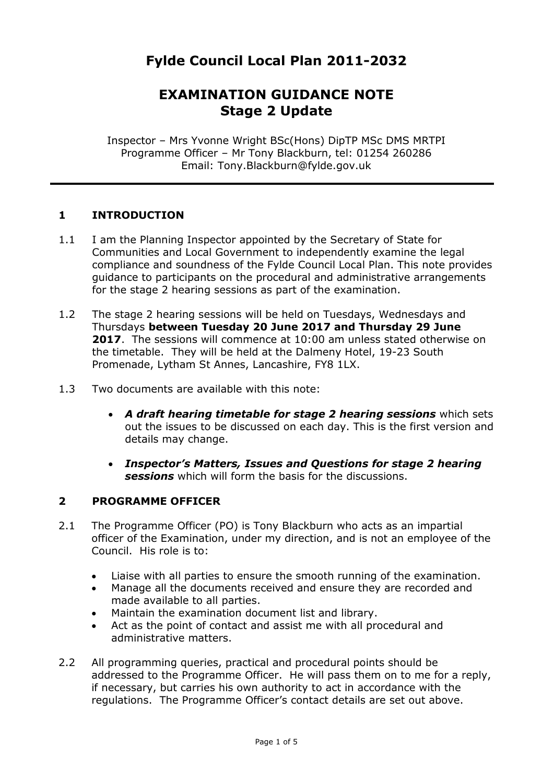# **Fylde Council Local Plan 2011-2032**

# **EXAMINATION GUIDANCE NOTE Stage 2 Update**

Inspector – Mrs Yvonne Wright BSc(Hons) DipTP MSc DMS MRTPI Programme Officer – Mr Tony Blackburn, tel: 01254 260286 Email: Tony.Blackburn@fylde.gov.uk

#### **1 INTRODUCTION**

- 1.1 I am the Planning Inspector appointed by the Secretary of State for Communities and Local Government to independently examine the legal compliance and soundness of the Fylde Council Local Plan. This note provides guidance to participants on the procedural and administrative arrangements for the stage 2 hearing sessions as part of the examination.
- 1.2 The stage 2 hearing sessions will be held on Tuesdays, Wednesdays and Thursdays **between Tuesday 20 June 2017 and Thursday 29 June 2017**.The sessions will commence at 10:00 am unless stated otherwise on the timetable. They will be held at the Dalmeny Hotel, 19-23 South Promenade, Lytham St Annes, Lancashire, FY8 1LX.
- 1.3 Two documents are available with this note:
	- *A draft hearing timetable for stage 2 hearing sessions* which sets out the issues to be discussed on each day. This is the first version and details may change.
	- *Inspector's Matters, Issues and Questions for stage 2 hearing sessions* which will form the basis for the discussions.

#### **2 PROGRAMME OFFICER**

- 2.1 The Programme Officer (PO) is Tony Blackburn who acts as an impartial officer of the Examination, under my direction, and is not an employee of the Council. His role is to:
	- Liaise with all parties to ensure the smooth running of the examination.
	- Manage all the documents received and ensure they are recorded and made available to all parties.
	- Maintain the examination document list and library.
	- Act as the point of contact and assist me with all procedural and administrative matters.
- 2.2 All programming queries, practical and procedural points should be addressed to the Programme Officer. He will pass them on to me for a reply, if necessary, but carries his own authority to act in accordance with the regulations. The Programme Officer's contact details are set out above.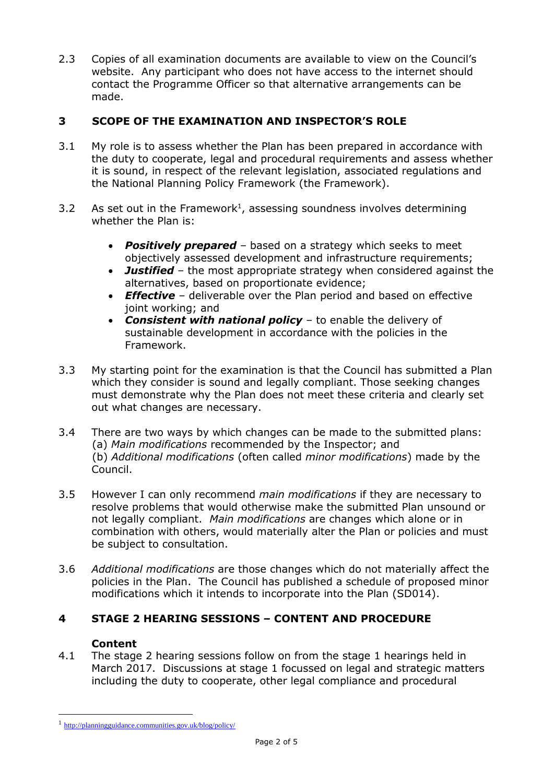2.3 Copies of all examination documents are available to view on the Council's website. Any participant who does not have access to the internet should contact the Programme Officer so that alternative arrangements can be made.

## **3 SCOPE OF THE EXAMINATION AND INSPECTOR'S ROLE**

- 3.1 My role is to assess whether the Plan has been prepared in accordance with the duty to cooperate, legal and procedural requirements and assess whether it is sound, in respect of the relevant legislation, associated regulations and the National Planning Policy Framework (the Framework).
- 3.2 As set out in the Framework<sup>1</sup>, assessing soundness involves determining whether the Plan is:
	- *Positively prepared* based on a strategy which seeks to meet objectively assessed development and infrastructure requirements;
	- *Justified* the most appropriate strategy when considered against the alternatives, based on proportionate evidence;
	- *Effective* deliverable over the Plan period and based on effective joint working; and
	- *Consistent with national policy* to enable the delivery of sustainable development in accordance with the policies in the Framework.
- 3.3 My starting point for the examination is that the Council has submitted a Plan which they consider is sound and legally compliant. Those seeking changes must demonstrate why the Plan does not meet these criteria and clearly set out what changes are necessary.
- 3.4 There are two ways by which changes can be made to the submitted plans: (a) *Main modifications* recommended by the Inspector; and (b) *Additional modifications* (often called *minor modifications*) made by the Council.
- 3.5 However I can only recommend *main modifications* if they are necessary to resolve problems that would otherwise make the submitted Plan unsound or not legally compliant. *Main modifications* are changes which alone or in combination with others, would materially alter the Plan or policies and must be subject to consultation.
- 3.6 *Additional modifications* are those changes which do not materially affect the policies in the Plan. The Council has published a schedule of proposed minor modifications which it intends to incorporate into the Plan (SD014).

### **4 STAGE 2 HEARING SESSIONS – CONTENT AND PROCEDURE**

### **Content**

1

4.1 The stage 2 hearing sessions follow on from the stage 1 hearings held in March 2017. Discussions at stage 1 focussed on legal and strategic matters including the duty to cooperate, other legal compliance and procedural

<sup>1</sup> <http://planningguidance.communities.gov.uk/blog/policy/>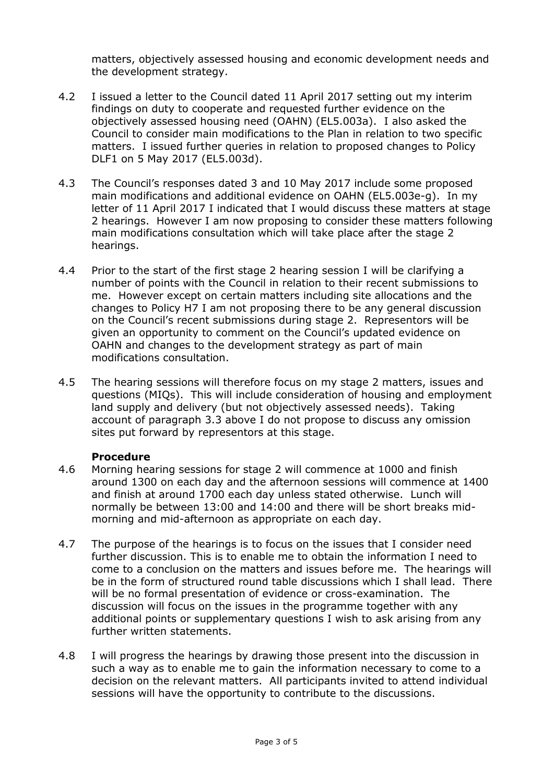matters, objectively assessed housing and economic development needs and the development strategy.

- 4.2 I issued a letter to the Council dated 11 April 2017 setting out my interim findings on duty to cooperate and requested further evidence on the objectively assessed housing need (OAHN) (EL5.003a). I also asked the Council to consider main modifications to the Plan in relation to two specific matters. I issued further queries in relation to proposed changes to Policy DLF1 on 5 May 2017 (EL5.003d).
- 4.3 The Council's responses dated 3 and 10 May 2017 include some proposed main modifications and additional evidence on OAHN (EL5.003e-g). In my letter of 11 April 2017 I indicated that I would discuss these matters at stage 2 hearings. However I am now proposing to consider these matters following main modifications consultation which will take place after the stage 2 hearings.
- 4.4 Prior to the start of the first stage 2 hearing session I will be clarifying a number of points with the Council in relation to their recent submissions to me. However except on certain matters including site allocations and the changes to Policy H7 I am not proposing there to be any general discussion on the Council's recent submissions during stage 2. Representors will be given an opportunity to comment on the Council's updated evidence on OAHN and changes to the development strategy as part of main modifications consultation.
- 4.5 The hearing sessions will therefore focus on my stage 2 matters, issues and questions (MIQs). This will include consideration of housing and employment land supply and delivery (but not objectively assessed needs). Taking account of paragraph 3.3 above I do not propose to discuss any omission sites put forward by representors at this stage.

#### **Procedure**

- 4.6 Morning hearing sessions for stage 2 will commence at 1000 and finish around 1300 on each day and the afternoon sessions will commence at 1400 and finish at around 1700 each day unless stated otherwise. Lunch will normally be between 13:00 and 14:00 and there will be short breaks midmorning and mid-afternoon as appropriate on each day.
- 4.7 The purpose of the hearings is to focus on the issues that I consider need further discussion. This is to enable me to obtain the information I need to come to a conclusion on the matters and issues before me. The hearings will be in the form of structured round table discussions which I shall lead. There will be no formal presentation of evidence or cross-examination. The discussion will focus on the issues in the programme together with any additional points or supplementary questions I wish to ask arising from any further written statements.
- 4.8 I will progress the hearings by drawing those present into the discussion in such a way as to enable me to gain the information necessary to come to a decision on the relevant matters. All participants invited to attend individual sessions will have the opportunity to contribute to the discussions.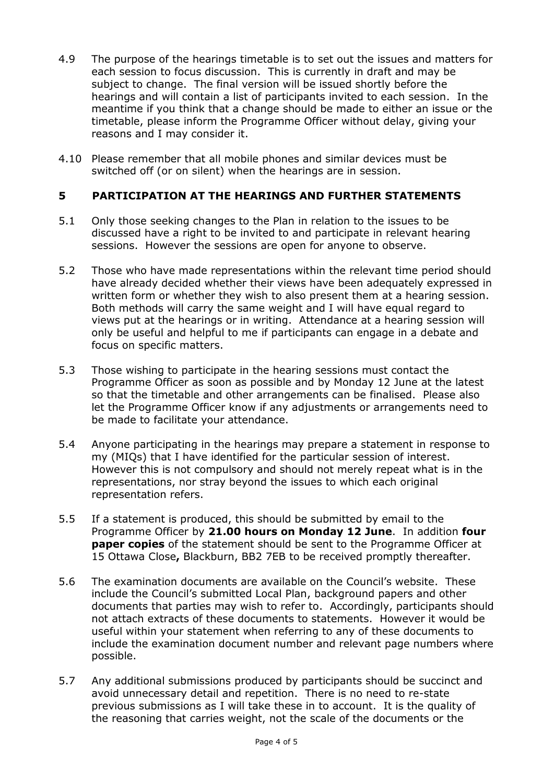- 4.9 The purpose of the hearings timetable is to set out the issues and matters for each session to focus discussion. This is currently in draft and may be subject to change. The final version will be issued shortly before the hearings and will contain a list of participants invited to each session. In the meantime if you think that a change should be made to either an issue or the timetable, please inform the Programme Officer without delay, giving your reasons and I may consider it.
- 4.10 Please remember that all mobile phones and similar devices must be switched off (or on silent) when the hearings are in session.

#### **5 PARTICIPATION AT THE HEARINGS AND FURTHER STATEMENTS**

- 5.1 Only those seeking changes to the Plan in relation to the issues to be discussed have a right to be invited to and participate in relevant hearing sessions. However the sessions are open for anyone to observe.
- 5.2 Those who have made representations within the relevant time period should have already decided whether their views have been adequately expressed in written form or whether they wish to also present them at a hearing session. Both methods will carry the same weight and I will have equal regard to views put at the hearings or in writing. Attendance at a hearing session will only be useful and helpful to me if participants can engage in a debate and focus on specific matters.
- 5.3 Those wishing to participate in the hearing sessions must contact the Programme Officer as soon as possible and by Monday 12 June at the latest so that the timetable and other arrangements can be finalised. Please also let the Programme Officer know if any adjustments or arrangements need to be made to facilitate your attendance.
- 5.4 Anyone participating in the hearings may prepare a statement in response to my (MIQs) that I have identified for the particular session of interest. However this is not compulsory and should not merely repeat what is in the representations, nor stray beyond the issues to which each original representation refers.
- 5.5 If a statement is produced, this should be submitted by email to the Programme Officer by **21.00 hours on Monday 12 June**. In addition **four paper copies** of the statement should be sent to the Programme Officer at 15 Ottawa Close**,** Blackburn, BB2 7EB to be received promptly thereafter.
- 5.6 The examination documents are available on the Council's website. These include the Council's submitted Local Plan, background papers and other documents that parties may wish to refer to. Accordingly, participants should not attach extracts of these documents to statements. However it would be useful within your statement when referring to any of these documents to include the examination document number and relevant page numbers where possible.
- 5.7 Any additional submissions produced by participants should be succinct and avoid unnecessary detail and repetition. There is no need to re-state previous submissions as I will take these in to account. It is the quality of the reasoning that carries weight, not the scale of the documents or the